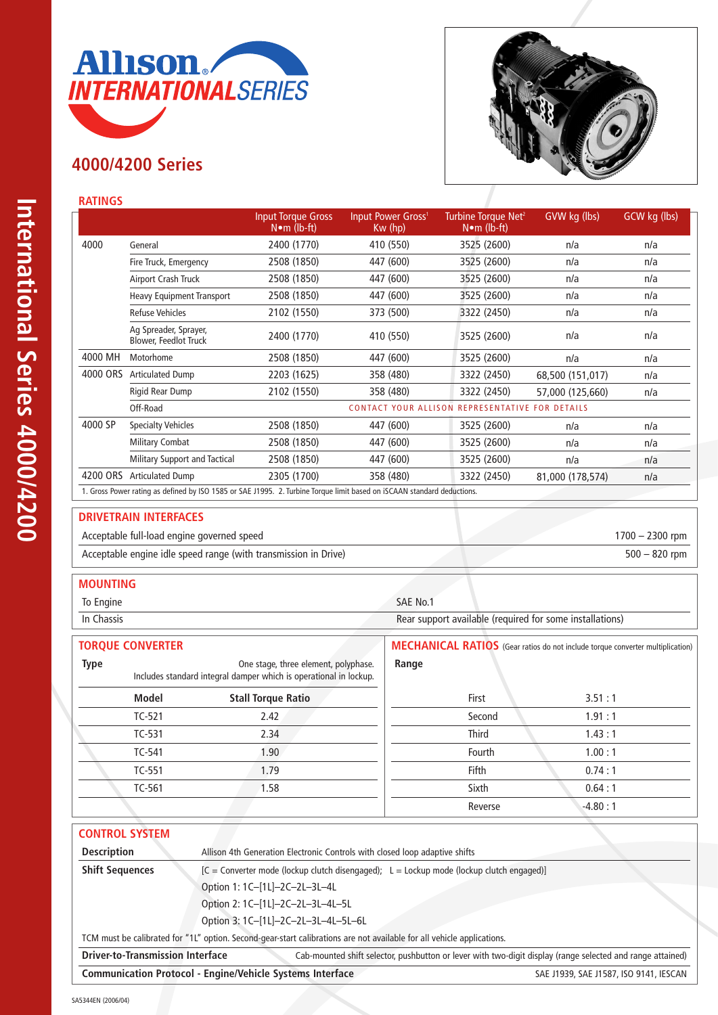

# **4000/4200 Series**



 $1700 - 2300$  rpm

## **RATINGS**

|          |                                                                                                                         | <b>Input Torque Gross</b><br>$N \cdot m$ (lb-ft) | Input Power Gross <sup>1</sup><br>$Kw$ (hp) | Turbine Torque Net <sup>2</sup><br>$N \cdot m$ (lb-ft) | GVW kg (lbs)     | GCW kg (lbs) |  |
|----------|-------------------------------------------------------------------------------------------------------------------------|--------------------------------------------------|---------------------------------------------|--------------------------------------------------------|------------------|--------------|--|
| 4000     | General                                                                                                                 | 2400 (1770)                                      | 410 (550)                                   | 3525 (2600)                                            | n/a              | n/a          |  |
|          | Fire Truck, Emergency                                                                                                   | 2508 (1850)                                      | 447 (600)                                   | 3525 (2600)                                            | n/a              | n/a          |  |
|          | Airport Crash Truck                                                                                                     | 2508 (1850)                                      | 447 (600)                                   | 3525 (2600)                                            | n/a              | n/a          |  |
|          | Heavy Equipment Transport                                                                                               | 2508 (1850)                                      | 447 (600)                                   | 3525 (2600)                                            | n/a              | n/a          |  |
|          | <b>Refuse Vehicles</b>                                                                                                  | 2102 (1550)                                      | 373 (500)                                   | 3322 (2450)                                            | n/a              | n/a          |  |
|          | Ag Spreader, Sprayer,<br><b>Blower, Feedlot Truck</b>                                                                   | 2400 (1770)                                      | 410 (550)                                   | 3525 (2600)                                            | n/a              | n/a          |  |
| 4000 MH  | Motorhome                                                                                                               | 2508 (1850)                                      | 447 (600)                                   | 3525 (2600)                                            | n/a              | n/a          |  |
| 4000 ORS | <b>Articulated Dump</b>                                                                                                 | 2203 (1625)                                      | 358 (480)                                   | 3322 (2450)                                            | 68,500 (151,017) | n/a          |  |
|          | Rigid Rear Dump                                                                                                         | 2102 (1550)                                      | 358 (480)                                   | 3322 (2450)                                            | 57,000 (125,660) | n/a          |  |
|          | Off-Road                                                                                                                |                                                  |                                             | <b>CONTACT YOUR ALLISON REPRESENTATIVE FOR DETAILS</b> |                  |              |  |
| 4000 SP  | <b>Specialty Vehicles</b>                                                                                               | 2508 (1850)                                      | 447 (600)                                   | 3525 (2600)                                            | n/a              | n/a          |  |
|          | <b>Military Combat</b>                                                                                                  | 2508 (1850)                                      | 447 (600)                                   | 3525 (2600)                                            | n/a              | n/a          |  |
|          | Military Support and Tactical                                                                                           | 2508 (1850)                                      | 447 (600)                                   | 3525 (2600)                                            | n/a              | n/a          |  |
| 4200 ORS | <b>Articulated Dump</b>                                                                                                 | 2305 (1700)                                      | 358 (480)                                   | 3322 (2450)                                            | 81,000 (178,574) | n/a          |  |
|          | 1. Gross Power rating as defined by ISO 1585 or SAE J1995. 2. Turbine Torque limit based on iSCAAN standard deductions. |                                                  |                                             |                                                        |                  |              |  |

### **DRIVETRAIN INTERFACES**

| Acceptable full-load engine governed speed                      | $1700 - 2300$ rpm |
|-----------------------------------------------------------------|-------------------|
| Acceptable engine idle speed range (with transmission in Drive) | $500 - 820$ rpm   |

#### **MOUNTING**

| To Engine  | SAE No.1                                                 |
|------------|----------------------------------------------------------|
| In Chassis | Rear support available (required for some installations) |
|            |                                                          |

|             | <b>TORQUE CONVERTER</b> |                                                                                                           |              | <b>MECHANICAL RATIOS</b> (Gear ratios do not include torque converter multiplication) |
|-------------|-------------------------|-----------------------------------------------------------------------------------------------------------|--------------|---------------------------------------------------------------------------------------|
| <b>Type</b> |                         | One stage, three element, polyphase.<br>Includes standard integral damper which is operational in lockup. | Range        |                                                                                       |
|             | Model                   | <b>Stall Torque Ratio</b>                                                                                 | First        | 3.51:1                                                                                |
|             | $TC-521$                | 2.42                                                                                                      | Second       | 1.91:1                                                                                |
|             | TC-531                  | 2.34                                                                                                      | <b>Third</b> | 1.43:1                                                                                |
|             | TC-541                  | 1.90 <sub>1</sub>                                                                                         | Fourth       | 1.00:1                                                                                |
|             | TC-551                  | 1.79                                                                                                      | <b>Fifth</b> | 0.74:1                                                                                |
|             | TC-561                  | 1.58                                                                                                      | Sixth        | 0.64:1                                                                                |
|             |                         |                                                                                                           | Reverse      | $-4.80:1$                                                                             |

| <b>CONTROL SYSTEM</b>                   |                                                                                                                        |                                        |
|-----------------------------------------|------------------------------------------------------------------------------------------------------------------------|----------------------------------------|
| <b>Description</b>                      | Allison 4th Generation Electronic Controls with closed loop adaptive shifts                                            |                                        |
| <b>Shift Sequences</b>                  | [C = Converter mode (lockup clutch disengaged); L = Lockup mode (lockup clutch engaged)]                               |                                        |
|                                         | Option 1: 1C-[1L]-2C-2L-3L-4L                                                                                          |                                        |
|                                         | Option 2: 1C-[1L]-2C-2L-3L-4L-5L                                                                                       |                                        |
|                                         | Option 3: 1C-[1L]-2C-2L-3L-4L-5L-6L                                                                                    |                                        |
|                                         | TCM must be calibrated for "1L" option. Second-gear-start calibrations are not available for all vehicle applications. |                                        |
| <b>Driver-to-Transmission Interface</b> | Cab-mounted shift selector, pushbutton or lever with two-digit display (range selected and range attained)             |                                        |
|                                         | <b>Communication Protocol - Engine/Vehicle Systems Interface</b>                                                       | SAE J1939, SAE J1587, ISO 9141, IESCAN |